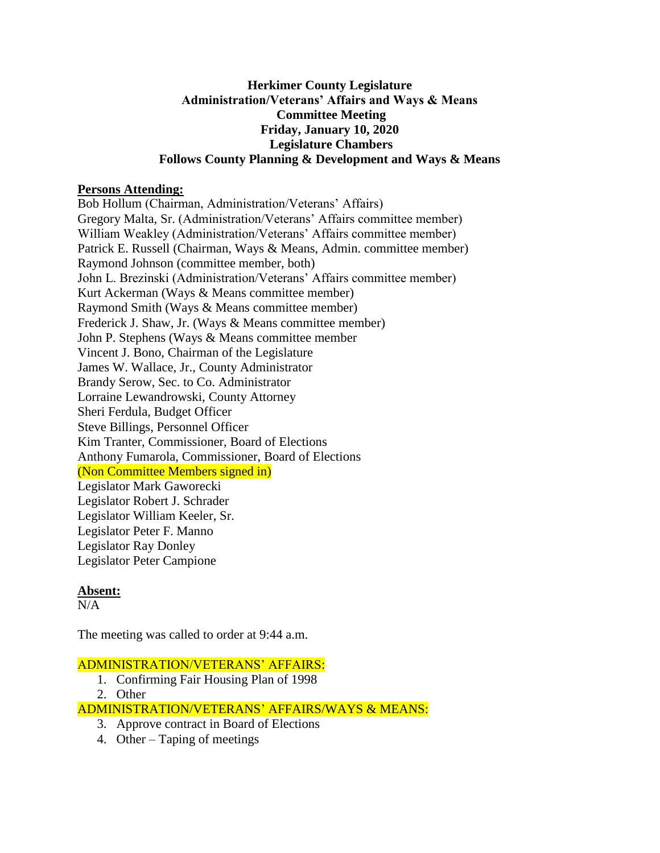## **Herkimer County Legislature Administration/Veterans' Affairs and Ways & Means Committee Meeting Friday, January 10, 2020 Legislature Chambers Follows County Planning & Development and Ways & Means**

## **Persons Attending:**

Bob Hollum (Chairman, Administration/Veterans' Affairs) Gregory Malta, Sr. (Administration/Veterans' Affairs committee member) William Weakley (Administration/Veterans' Affairs committee member) Patrick E. Russell (Chairman, Ways & Means, Admin. committee member) Raymond Johnson (committee member, both) John L. Brezinski (Administration/Veterans' Affairs committee member) Kurt Ackerman (Ways & Means committee member) Raymond Smith (Ways & Means committee member) Frederick J. Shaw, Jr. (Ways & Means committee member) John P. Stephens (Ways & Means committee member Vincent J. Bono, Chairman of the Legislature James W. Wallace, Jr., County Administrator Brandy Serow, Sec. to Co. Administrator Lorraine Lewandrowski, County Attorney Sheri Ferdula, Budget Officer Steve Billings, Personnel Officer Kim Tranter, Commissioner, Board of Elections Anthony Fumarola, Commissioner, Board of Elections (Non Committee Members signed in) Legislator Mark Gaworecki Legislator Robert J. Schrader Legislator William Keeler, Sr. Legislator Peter F. Manno Legislator Ray Donley Legislator Peter Campione

# **Absent:**

 $N/A$ 

The meeting was called to order at 9:44 a.m.

# ADMINISTRATION/VETERANS' AFFAIRS:

- 1. Confirming Fair Housing Plan of 1998
- 2. Other

ADMINISTRATION/VETERANS' AFFAIRS/WAYS & MEANS:

- 3. Approve contract in Board of Elections
- 4. Other Taping of meetings